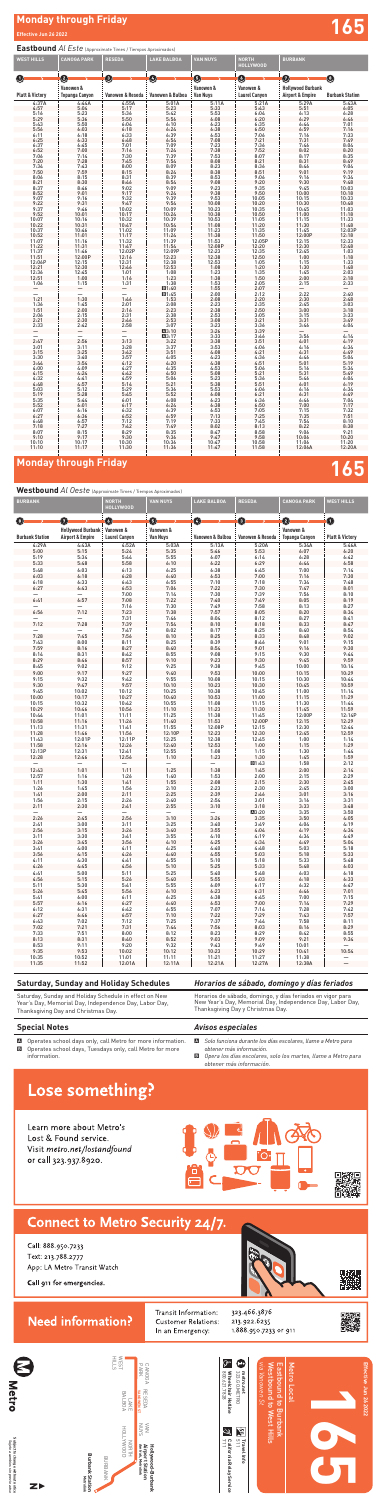# **Monday through Friday Effective Jun 26 2022 165**

### **Special Notes**

A Operates school days only, call Metro for more information. B Operates school days, Tuesdays only, call Metro for more information.

### *Avisos especiales*

- A *Solo funciona durante los días escolares, llame a Metro para obtener más información.*
- B *Opera los días escolares, solo los martes, llame a Metro para obtener más información.*

## Lose something?

Learn more about Metro's Lost & Found service. Visit metro.net/lostandfound or call 323.937.8920.





Call: 888.950.7233 Text: 213.788.2777 App: LA Metro Transit Watch

### Call 911 for emergencies.

## **Need information?**

Transit Information: Customer Relations: In an Emergency:

323.466.3876 213.922.6235 1.888.950.7233 or 911



### *Horarios de sábado, domingo y días feriados*

Horarios de sábado, domingo, y días feriados en vigor para New Year's Day, Memorial Day, Independence Day, Labor Day, Thanksgiving Day y Christmas Day*.*

### **Saturday, Sunday and Holiday Schedules**

Saturday, Sunday and Holiday Schedule in effect on New Year's Day, Memorial Day, Independence Day, Labor Day, Thanksgiving Day and Christmas Day.

### **Eastbound** *Al Este* (Approximate Times / Tiempos Aproximados)

Subject to change without notice<br>Sujeto a cambios sin previo aviso **Subject to change without notice** *Sujeto a cambios sin previo aviso*





| <b>WEST HILLS</b>          | <b>CANOGA PARK</b>                 | <b>RESEDA</b>    | <b>LAKE BALBOA</b>  | <b>VAN NUYS</b>              | <b>NORTH</b><br><b>HOLLYWOOD</b>  | <b>BURBANK</b>                                          |                        |
|----------------------------|------------------------------------|------------------|---------------------|------------------------------|-----------------------------------|---------------------------------------------------------|------------------------|
| O                          | 0                                  | ➊                | Ø                   | 0                            | O                                 | $\boldsymbol{\Omega}$                                   | O                      |
| <b>Platt &amp; Victory</b> | Vanowen &<br><b>Topanga Canyon</b> | Vanowen & Reseda | Vanowen & Balboa    | Vanowen &<br><b>Van Nuys</b> | Vanowen &<br><b>Laurel Canyon</b> | <b>Hollywood Burbank</b><br><b>Airport &amp; Empire</b> | <b>Burbank Station</b> |
| 4:37A                      | 4:44A                              | 4:55A            | 5:01A               | 5:11A                        | 5:21A                             | 5:29A                                                   | 5:43A                  |
| 4:57                       | 5:04                               | 5:17             | 5:23                | 5:33                         | 5:43                              | 5:51                                                    | 6:05                   |
| 5:16                       | 5:23                               |                  |                     | 5:53                         |                                   |                                                         | 6:28                   |
| 5:29                       | 5:36                               | 5:36<br>5:50     | $5:42$<br>$5:56$    | 6:08                         | $6:04$<br>$6:20$                  | $6:13$<br>$6:29$                                        | 6:46                   |
| 5:43                       | 5:50                               | 6:04             | 6:10                | 6:23                         | 6:35                              | 6:44                                                    | 7:01                   |
| 5:56                       | 6:03                               | 6:18             |                     | 6:38                         | 6:50                              | 6:59                                                    | 7:16                   |
| 6:11                       | 6:18                               | 6:33             | $6:24$<br>$6:39$    | 6:53                         | 7:06                              | 7:16                                                    | 7:33                   |
| 6:25                       | 6:33                               | 6:48             | 6:54                | 7:08                         | 7:21                              | 7:31                                                    | 7:49                   |
|                            |                                    | 7:01             |                     |                              |                                   | 7:46                                                    | 8:04                   |
| 6:37<br>6:52               | $6:45$<br>$7:00$                   | 7:16             | $7:09$<br>$7:24$    | 7:23<br>7:38                 | 7:36<br>7:52                      | 8:02                                                    | 8:20                   |
| 7:06                       | 7:14                               | 7:30             | 7:39                | 7:53                         | 8:07                              | 8:17                                                    | 8:35                   |
|                            | 7:28                               | 7:45             |                     | 8:08                         | 8:21                              | 8:31                                                    | 8:49                   |
| 7:20<br>7:34               | 7:43                               | 8:00             | 7:54<br>8:09        | 8:23                         | 8:36                              | 8:46                                                    | 9:04                   |
| 7:50                       | 7:59                               | 8:15             | 8:24                | 8:38                         | 8:51                              | 9:01                                                    | 9:19                   |
| 8:06                       | 8:15                               | 8:31             | 8:39                | 8:53                         |                                   | 9:16                                                    | 9:34                   |
| 8:21                       | 8:30                               | 8:46             | 8:54                | 9:08                         | $9:06$<br>$9:20$                  | 9:30                                                    | 9:48                   |
| 8:37                       | 8:46                               | 9:02             | 9:09                | 9:23                         | 9:35                              | 9:45                                                    | 10:03                  |
| 8:52                       | 9:01                               | 9:17             |                     | 9:38                         | 9:50                              | 10:00                                                   | 10:18                  |
| 9:07                       | 9:16                               | 9:32             | $9:24$<br>9:39      | 9:53                         | 10:05                             | 10:15                                                   | 10:33                  |
| 9:22                       | 9:31                               | 9:47             | 9:54                | 10:08                        | 10:20                             | 10:30                                                   | 10:48                  |
|                            |                                    |                  |                     | 10:23                        |                                   |                                                         | 11:03                  |
| $9:37$<br>$9:52$           | $9:46$<br>10:01                    | 10:02<br>10:17   | 10:09<br>10:24      | 10:38                        | 10:35<br>10:50                    | 10:45<br>11:00                                          | 11:18                  |
| 10:07                      | 10:16                              | 10:32            | 10:39               | 10:53                        | 11:05                             | 11:15                                                   | 11:33                  |
| 10:22                      | 10:31                              | 10:47            |                     | 11:08                        | 11:20                             | 11:30                                                   | 11:48                  |
| 10:37                      | 10:46                              | 11:02            | 10:54<br>11:09      | 11:23                        | 11:35                             | 11:45                                                   | 12:03P                 |
| 10:52                      | 11:01                              | 11:17            | 11:24               | 11:38                        | 11:50                             | 12:00P                                                  | 12:18                  |
| 11:07                      | 11:16                              | 11:32            | 11:39               | 11:53                        | 12:05P                            | 12:15                                                   | 12:33                  |
| 11:22                      | 11:31                              | 11:47            | 11:54               | 12:08P                       | 12:20                             | 12:30                                                   | 12:48                  |
| 11:37                      | 11:46                              | 12:02P           | 12:09P              | 12:23                        | 12:35                             | 12:45                                                   | 1:03                   |
| 11:51                      | 12:00P                             | 12:16            |                     | 12:38                        | 12:50                             | 1:00                                                    | 1:18                   |
| 12:06P                     | 12:15                              | 12:31            | 12:23<br>12:38      | 12:53                        | 1:05                              | 1:15                                                    | 1:33                   |
| 12:21                      | 12:30                              | 12:46            | 12:53               | 1:08                         | 1:20                              | 1:30                                                    | 1:48                   |
| 12:36                      |                                    |                  |                     | 1:23                         |                                   |                                                         | 2:03                   |
| 12:51                      | 12:45<br>1:00                      | $1:01$<br>$1:16$ | $1:08$<br>$1:23$    | 1:38                         | $1:35$<br>$1:50$                  | $1:45$<br>$2:00$                                        | 2:18                   |
| 1:06                       | 1:15                               | 1:31             | 1:38                | 1:53                         | 2:05                              | 2:15                                                    | 2:33                   |
|                            |                                    | —                | ■1:40               | 1:55                         | 2:07                              |                                                         |                        |
|                            |                                    |                  | ■1:45               | 2:00                         | 2:12                              | 2:22                                                    | 2:40                   |
| 1:21                       | 1:30                               | 1:46             | 1:53                | 2:08                         | 2:20                              | 2:30                                                    | 2:48                   |
| 1:36                       | 1:45                               | 2:01             | 2:08                | 2:23                         | 2:35                              | 2:45                                                    | 3:03                   |
| 1:51                       | 2:00                               | 2:16             | 2:23                | 2:38                         | 2:50                              | 3:00                                                    | 3:18                   |
| 2:06                       | 2:15                               | 2:31             | 2:38                | 2:53                         | 3:05                              | 3:15                                                    | 3:33                   |
| 2:21                       | 2:30                               | 2:46             | 2:53                | 3:08                         | 3:21                              | 3:31                                                    | 3:49                   |
| 2:33                       | 2:42                               | 2:58             | 3:07                | 3:23                         | 3:36                              | 3:46                                                    | 4:04                   |
|                            |                                    |                  | $\blacksquare$ 3:10 | 3:26                         | 3:39                              |                                                         |                        |
|                            |                                    |                  | A3:17               | 3:33                         | 3:46                              | 3:56                                                    | 4:14                   |
| 2:47                       | $\frac{-}{2:56}$                   | 3:13             | 3:22                | 3:38                         | 3:51                              | 4:01                                                    | 4:19                   |
| 3:01                       | 3:11                               | 3:28             | 3:37                | 3:53                         | 4:06                              | 4:16                                                    | 4:34                   |
| 3:15                       | 3:25                               | 3:42             | 3:51                | 4:08                         | 4:21                              | 4:31                                                    | 4:49                   |
| 3:30                       | 3:40                               | 3:57             | 4:05                | 4:23                         | 4:36                              | 4:46                                                    | 5:04                   |
| 3:44                       | 3:54                               | 4:12             | 4:20                | 4:38                         | 4:51                              | 5:01                                                    | 5:19                   |
| $4:00$<br>$4:15$           | 4:09                               | $4:27$<br>$4:42$ | $4:35$<br>$4:50$    | $\frac{4:53}{5:08}$          | 5:06                              | 5:16                                                    | 5:34                   |
|                            | 4:24                               |                  |                     |                              | 5:21                              | 5:31                                                    | 5:49                   |
| 4:32                       | 4:41                               | 4:59             | 5:06                | 5:23                         | 5:36                              | 5:46                                                    | 6:04                   |
| 4:48                       | 4:57                               | 5:14             | 5:21                | 5:38                         | 5:51                              | 6:01                                                    | 6:19                   |
| 5:03                       | 5:12                               | 5:29             | 5:36                | 5:53                         | 6:06                              | 6:16                                                    | 6:34                   |
| 5:19                       | 5:28                               | 5:45             | 5:52                | 6:08                         | 6:21                              | 6:31                                                    | 6:49                   |
| 5:35                       | 5:44                               | 6:01             | 6:08                | 6:23                         | 6:36                              | 6:46                                                    | 7:04                   |
| 5:52                       | 6:01                               | 6:17             | 6:24                | 6:38                         | 6:50                              | 7:00                                                    | 7:17                   |
| 6:07                       | 6:16                               | 6:32             | 6:39                | 6:53                         | 7:05                              | 7:15                                                    | 7:32                   |
| 6:27                       | 6:36                               | 6:52             | 6:59                | 7:13                         | 7:25                              | 7:35                                                    | 7:51                   |
| 6:48                       | 6:57                               | 7:12             | 7:19                | 7:33                         | 7:45                              | 7:54                                                    | 8:10                   |
| 7:18                       | 7:27                               | 7:42             | 7:49                | 8:02                         | 8:13                              | 8:22                                                    | 8:38                   |
| 8:07                       | 8:15                               | 8:29             | 8:35                | 8:47                         | 8:58                              | 9:06                                                    | 9:21                   |
| 9:10                       | 9:17                               | 9:30             | 9:36                | 9:47                         | 9:58                              | 10:06                                                   | 10:20                  |
| 10:10                      | 10:17                              | 10:30            | 10:36               | 10:47                        | 10:58                             | 11:06                                                   | 11:20                  |
| 11:10                      | 11:17                              | 11:30            | 11:36               | 11:47                        | 11:58                             | 12:06A                                                  | 12:20A                 |
|                            |                                    |                  |                     |                              |                                   |                                                         |                        |

## **Monday through Friday 1655 (1656)**<br>165<sup>5</sup> **165**

## Westbound *Al Oeste* (Approximate Times / Tiempos Aproximados)

| 0<br>Ø<br>$\mathbf 0$<br>Θ<br>0<br>$\mathbf 2$<br>O<br>$\left  \right $<br>Vanowen &<br>Vanowen &<br><b>Hollywood Burbank</b><br>Vanowen &<br><b>Laurel Canyon</b><br><b>Van Nuys</b><br><b>Platt &amp; Victory</b><br><b>Burbank Station</b><br><b>Airport &amp; Empire</b><br>Vanowen & Balboa<br>Vanowen & Reseda<br><b>Topanga Canyon</b><br>4:29A<br>4:43A<br>4:52A<br>5:03A<br>5:20A<br>5:34A<br>5:46A<br>5:13A<br>5:00<br>5:15<br>5:24<br>5:35<br>5:53<br>6:07<br>5:46<br>6:20<br>5:19<br>5:34<br>5:44<br>5:55<br>6:07<br>6:14<br>6:28<br>6:42<br>5:33<br>5:58<br>6:10<br>6:22<br>6:29<br>6:44<br>6:58<br>5:48<br>5:48<br>7:00<br>6:13<br>6:25<br>6:38<br>6:45<br>7:14<br>6:03<br>6:03<br>6:18<br>6:28<br>6:40<br>6:53<br>7:00<br>7:16<br>7:30<br>6:18<br>6:43<br>6:55<br>7:10<br>7:18<br>7:34<br>7:48<br>6:33<br>7:06<br>7:22<br>7:30<br>7:47<br>6:27<br>6:53<br>8:01<br>6:43<br>7:00<br>7:14<br>7:30<br>7:39<br>7:56<br>8:10<br>—<br>6:41<br>6:57<br>7:08<br>7:22<br>7:40<br>7:49<br>8:05<br>8:19<br>7:30<br>7:58<br>8:13<br>7:16<br>7:49<br>8:27<br>6:56<br>7:23<br>7:38<br>8:20<br>7:12<br>7:57<br>8:05<br>8:34<br>7:31<br>7:46<br>8:12<br>8:27<br>8:04<br>8:41<br>7:12<br>7:28<br>7:39<br>7:54<br>8:18<br>8:33<br>8:10<br>8:47<br>7:47<br>8:02<br>8:17<br>8:25<br>8:40<br>8:54<br>—<br>7:28<br>7:45<br>7:56<br>8:10<br>8:25<br>8:33<br>8:48<br>9:02<br>8:25<br>8:46<br>9:01<br>7:43<br>8:00<br>8:11<br>8:39<br>9:15<br>7:59<br>8:27<br>9:16<br>8:16<br>8:40<br>8:54<br>9:01<br>9:30<br>8:14<br>8:42<br>8:55<br>9:08<br>9:15<br>9:30<br>9:44<br>8:31<br>8:29<br>8:57<br>9:10<br>9:30<br>9:45<br>9:59<br>8:46<br>9:23<br>9:25<br>10:00<br>8:45<br>9:02<br>9:12<br>9:38<br>9:45<br>10:14<br>9:00<br>9:17<br>9:27<br>9:40<br>9:53<br>10:00<br>10:15<br>10:29<br>9:15<br>9:32<br>9:42<br>9:55<br>10:15<br>10:30<br>10:08<br>10:44<br>9:30<br>9:57<br>9:47<br>10:10<br>10:23<br>10:30<br>10:45<br>10:59<br>9:45<br>10:02<br>10:12<br>10:25<br>10:45<br>11:00<br>11:14<br>10:38<br>10:00<br>10:27<br>10:40<br>10:17<br>10:53<br>11:00<br>11:15<br>11:29<br>10:15<br>10:32<br>10:42<br>10:55<br>11:08<br>11:15<br>11:30<br>11:44<br>10:29<br>10:56<br>11:10<br>11:30<br>11:45<br>11:59<br>10:46<br>11:23<br>11:25<br>11:45<br>12:00P<br>10:44<br>11:01<br>11:11<br>11:38<br>12:14P<br>10:58<br>12:00P<br>11:16<br>11:26<br>11:40<br>11:53<br>12:15<br>12:29<br>11:13<br>11:31<br>11:41<br>11:55<br>12:08P<br>12:15<br>12:30<br>12:44<br>11:28<br>11:56<br>12:10P<br>11:46<br>12:23<br>12:30<br>12:45<br>12:59<br>11:43<br>12:01P<br>12:11P<br>12:25<br>12:38<br>12:45<br>1:00<br>1:14<br>11:58<br>12:26<br>12:40<br>12:53<br>1:00<br>1:15<br>1:29<br>12:16<br>1:15<br>1:30<br>12:13P<br>12:31<br>12:41<br>12:55<br>1:08<br>1:44<br>12:28<br>12:46<br>12:56<br>1:10<br>1:23<br>1:30<br>1:45<br>1:59<br>■1:43<br>1:58<br>2:12<br>12:43<br>1:01<br>1:11<br>1:25<br>1:38<br>1:45<br>2:00<br>2:14<br>12:57<br>1:26<br>1:40<br>2:00<br>2:15<br>2:29<br>1:16<br>1:53<br>1:11<br>1:55<br>2:08<br>2:15<br>2:30<br>2:45<br>1:30<br>1:41<br>1:26<br>1:56<br>2:10<br>2:30<br>2:45<br>1:45<br>2:23<br>3:00<br>3:01<br>1:41<br>2:00<br>2:11<br>2:25<br>2:39<br>2:46<br>3:16<br>1:56<br>2:26<br>2:40<br>2:54<br>3:01<br>3:16<br>2:15<br>3:31<br>2:55<br>3:33<br>2:11<br>2:30<br>2:41<br>3:10<br>3:18<br>3:48<br>A3:20<br>3:35<br>3:50<br>—<br>$\overline{\phantom{0}}$<br>2:26<br>3:10<br>2:45<br>2:56<br>3:26<br>3:35<br>3:50<br>4:05<br>3:25<br>2:41<br>3:00<br>3:11<br>3:40<br>3:49<br>4:04<br>4:19<br>4:19<br>2:56<br>3:15<br>3:26<br>3:40<br>3:55<br>4:04<br>4:34<br>3:55<br>4:19<br>4:34<br>4:49<br>3:11<br>3:30<br>3:41<br>4:10<br>4:34<br>4:49<br>3:56<br>4:10<br>3:26<br>3:45<br>4:25<br>5:04<br>4:25<br>5:03<br>3:41<br>4:00<br>4:11<br>4:40<br>4:48<br>5:18<br>3:56<br>4:26<br>4:40<br>4:55<br>5:18<br>4:15<br>5:03<br>5:33<br>5:33<br>4:55<br>5:18<br>4:11<br>4:30<br>4:41<br>5:10<br>5:48<br>4:26<br>4:45<br>4:56<br>5:10<br>5:33<br>5:48<br>5:25<br>6:03<br>5:25<br>6:03<br>4:41<br>5:00<br>5:11<br>5:40<br>5:48<br>6:18<br>4:56<br>5:26<br>5:40<br>6:18<br>5:15<br>5:55<br>6:03<br>6:33<br>5:11<br>5:55<br>6:32<br>5:30<br>5:41<br>6:09<br>6:17<br>6:47<br>5:26<br>5:45<br>5:56<br>6:10<br>6:23<br>6:31<br>6:46<br>7:01<br>6:25<br>7:00<br>5:41<br>6:11<br>6:38<br>6:45<br>7:15<br>6:00<br>5:57<br>6:27<br>6:40<br>7:00<br>7:14<br>7:29<br>6:16<br>6:53<br>6:12<br>6:55<br>7:14<br>7:28<br>6:42<br>7:07<br>7:42<br>6:31<br>7:43<br>6:27<br>7:10<br>7:29<br>6:57<br>7:22<br>7:57<br>6:46<br>6:43<br>7:12<br>7:25<br>7:37<br>7:44<br>7:58<br>7:02<br>8:11<br>7:02<br>7:21<br>7:31<br>7:44<br>7:56<br>8:03<br>8:16<br>8:29<br>7:33<br>8:29<br>8:42<br>7:51<br>8:00<br>8:12<br>8:23<br>8:55<br>8:13<br>8:40<br>8:52<br>9:03<br>9:09<br>9:21<br>9:34<br>8:31<br>8:53<br>9:20<br>9:32<br>9:49<br>10:01<br>9:11<br>9:43<br>9:35<br>10:12<br>10:54<br>9:53<br>10:02<br>10:23<br>10:29<br>10:41<br>10:35<br>11:38<br>10:52<br>11:01<br>11:11<br>11:21<br>11:27<br>11:35<br>11:52<br>12:01A<br>12:11A<br>12:21A<br>12:27A<br>12:38A | <b>BURBANK</b> |  | <b>NORTH</b><br><b>HOLLYWOOD</b> | <b>VAN NUYS</b> | <b>LAKE BALBOA</b> | <b>RESEDA</b> | <b>CANOGA PARK</b> | <b>WEST HILLS</b> |
|-------------------------------------------------------------------------------------------------------------------------------------------------------------------------------------------------------------------------------------------------------------------------------------------------------------------------------------------------------------------------------------------------------------------------------------------------------------------------------------------------------------------------------------------------------------------------------------------------------------------------------------------------------------------------------------------------------------------------------------------------------------------------------------------------------------------------------------------------------------------------------------------------------------------------------------------------------------------------------------------------------------------------------------------------------------------------------------------------------------------------------------------------------------------------------------------------------------------------------------------------------------------------------------------------------------------------------------------------------------------------------------------------------------------------------------------------------------------------------------------------------------------------------------------------------------------------------------------------------------------------------------------------------------------------------------------------------------------------------------------------------------------------------------------------------------------------------------------------------------------------------------------------------------------------------------------------------------------------------------------------------------------------------------------------------------------------------------------------------------------------------------------------------------------------------------------------------------------------------------------------------------------------------------------------------------------------------------------------------------------------------------------------------------------------------------------------------------------------------------------------------------------------------------------------------------------------------------------------------------------------------------------------------------------------------------------------------------------------------------------------------------------------------------------------------------------------------------------------------------------------------------------------------------------------------------------------------------------------------------------------------------------------------------------------------------------------------------------------------------------------------------------------------------------------------------------------------------------------------------------------------------------------------------------------------------------------------------------------------------------------------------------------------------------------------------------------------------------------------------------------------------------------------------------------------------------------------------------------------------------------------------------------------------------------------------------------------------------------------------------------------------------------------------------------------------------------------------------------------------------------------------------------------------------------------------------------------------------------------------------------------------------------------------------------------------------------------------------------------------------------------------------------------------------------------------------------------------------------------------------------------------------------------------------------------------------------------------------------------------------------------------------------------------------------------------------------------------------------------------------------------------------------------------------------------------------------------------------------------------------------------------------------------------------------------------------------------------------------------------------------------------------------------------------------------------------------------------------------------------------------------------------------------------------------------------------------------------------------------------------------------------------------------|----------------|--|----------------------------------|-----------------|--------------------|---------------|--------------------|-------------------|
|                                                                                                                                                                                                                                                                                                                                                                                                                                                                                                                                                                                                                                                                                                                                                                                                                                                                                                                                                                                                                                                                                                                                                                                                                                                                                                                                                                                                                                                                                                                                                                                                                                                                                                                                                                                                                                                                                                                                                                                                                                                                                                                                                                                                                                                                                                                                                                                                                                                                                                                                                                                                                                                                                                                                                                                                                                                                                                                                                                                                                                                                                                                                                                                                                                                                                                                                                                                                                                                                                                                                                                                                                                                                                                                                                                                                                                                                                                                                                                                                                                                                                                                                                                                                                                                                                                                                                                                                                                                                                                                                                                                                                                                                                                                                                                                                                                                                                                                                                                                                                               |                |  |                                  |                 |                    |               |                    |                   |
|                                                                                                                                                                                                                                                                                                                                                                                                                                                                                                                                                                                                                                                                                                                                                                                                                                                                                                                                                                                                                                                                                                                                                                                                                                                                                                                                                                                                                                                                                                                                                                                                                                                                                                                                                                                                                                                                                                                                                                                                                                                                                                                                                                                                                                                                                                                                                                                                                                                                                                                                                                                                                                                                                                                                                                                                                                                                                                                                                                                                                                                                                                                                                                                                                                                                                                                                                                                                                                                                                                                                                                                                                                                                                                                                                                                                                                                                                                                                                                                                                                                                                                                                                                                                                                                                                                                                                                                                                                                                                                                                                                                                                                                                                                                                                                                                                                                                                                                                                                                                                               |                |  |                                  |                 |                    |               |                    |                   |
|                                                                                                                                                                                                                                                                                                                                                                                                                                                                                                                                                                                                                                                                                                                                                                                                                                                                                                                                                                                                                                                                                                                                                                                                                                                                                                                                                                                                                                                                                                                                                                                                                                                                                                                                                                                                                                                                                                                                                                                                                                                                                                                                                                                                                                                                                                                                                                                                                                                                                                                                                                                                                                                                                                                                                                                                                                                                                                                                                                                                                                                                                                                                                                                                                                                                                                                                                                                                                                                                                                                                                                                                                                                                                                                                                                                                                                                                                                                                                                                                                                                                                                                                                                                                                                                                                                                                                                                                                                                                                                                                                                                                                                                                                                                                                                                                                                                                                                                                                                                                                               |                |  |                                  |                 |                    |               |                    |                   |
|                                                                                                                                                                                                                                                                                                                                                                                                                                                                                                                                                                                                                                                                                                                                                                                                                                                                                                                                                                                                                                                                                                                                                                                                                                                                                                                                                                                                                                                                                                                                                                                                                                                                                                                                                                                                                                                                                                                                                                                                                                                                                                                                                                                                                                                                                                                                                                                                                                                                                                                                                                                                                                                                                                                                                                                                                                                                                                                                                                                                                                                                                                                                                                                                                                                                                                                                                                                                                                                                                                                                                                                                                                                                                                                                                                                                                                                                                                                                                                                                                                                                                                                                                                                                                                                                                                                                                                                                                                                                                                                                                                                                                                                                                                                                                                                                                                                                                                                                                                                                                               |                |  |                                  |                 |                    |               |                    |                   |
|                                                                                                                                                                                                                                                                                                                                                                                                                                                                                                                                                                                                                                                                                                                                                                                                                                                                                                                                                                                                                                                                                                                                                                                                                                                                                                                                                                                                                                                                                                                                                                                                                                                                                                                                                                                                                                                                                                                                                                                                                                                                                                                                                                                                                                                                                                                                                                                                                                                                                                                                                                                                                                                                                                                                                                                                                                                                                                                                                                                                                                                                                                                                                                                                                                                                                                                                                                                                                                                                                                                                                                                                                                                                                                                                                                                                                                                                                                                                                                                                                                                                                                                                                                                                                                                                                                                                                                                                                                                                                                                                                                                                                                                                                                                                                                                                                                                                                                                                                                                                                               |                |  |                                  |                 |                    |               |                    |                   |
|                                                                                                                                                                                                                                                                                                                                                                                                                                                                                                                                                                                                                                                                                                                                                                                                                                                                                                                                                                                                                                                                                                                                                                                                                                                                                                                                                                                                                                                                                                                                                                                                                                                                                                                                                                                                                                                                                                                                                                                                                                                                                                                                                                                                                                                                                                                                                                                                                                                                                                                                                                                                                                                                                                                                                                                                                                                                                                                                                                                                                                                                                                                                                                                                                                                                                                                                                                                                                                                                                                                                                                                                                                                                                                                                                                                                                                                                                                                                                                                                                                                                                                                                                                                                                                                                                                                                                                                                                                                                                                                                                                                                                                                                                                                                                                                                                                                                                                                                                                                                                               |                |  |                                  |                 |                    |               |                    |                   |
|                                                                                                                                                                                                                                                                                                                                                                                                                                                                                                                                                                                                                                                                                                                                                                                                                                                                                                                                                                                                                                                                                                                                                                                                                                                                                                                                                                                                                                                                                                                                                                                                                                                                                                                                                                                                                                                                                                                                                                                                                                                                                                                                                                                                                                                                                                                                                                                                                                                                                                                                                                                                                                                                                                                                                                                                                                                                                                                                                                                                                                                                                                                                                                                                                                                                                                                                                                                                                                                                                                                                                                                                                                                                                                                                                                                                                                                                                                                                                                                                                                                                                                                                                                                                                                                                                                                                                                                                                                                                                                                                                                                                                                                                                                                                                                                                                                                                                                                                                                                                                               |                |  |                                  |                 |                    |               |                    |                   |
|                                                                                                                                                                                                                                                                                                                                                                                                                                                                                                                                                                                                                                                                                                                                                                                                                                                                                                                                                                                                                                                                                                                                                                                                                                                                                                                                                                                                                                                                                                                                                                                                                                                                                                                                                                                                                                                                                                                                                                                                                                                                                                                                                                                                                                                                                                                                                                                                                                                                                                                                                                                                                                                                                                                                                                                                                                                                                                                                                                                                                                                                                                                                                                                                                                                                                                                                                                                                                                                                                                                                                                                                                                                                                                                                                                                                                                                                                                                                                                                                                                                                                                                                                                                                                                                                                                                                                                                                                                                                                                                                                                                                                                                                                                                                                                                                                                                                                                                                                                                                                               |                |  |                                  |                 |                    |               |                    |                   |
|                                                                                                                                                                                                                                                                                                                                                                                                                                                                                                                                                                                                                                                                                                                                                                                                                                                                                                                                                                                                                                                                                                                                                                                                                                                                                                                                                                                                                                                                                                                                                                                                                                                                                                                                                                                                                                                                                                                                                                                                                                                                                                                                                                                                                                                                                                                                                                                                                                                                                                                                                                                                                                                                                                                                                                                                                                                                                                                                                                                                                                                                                                                                                                                                                                                                                                                                                                                                                                                                                                                                                                                                                                                                                                                                                                                                                                                                                                                                                                                                                                                                                                                                                                                                                                                                                                                                                                                                                                                                                                                                                                                                                                                                                                                                                                                                                                                                                                                                                                                                                               |                |  |                                  |                 |                    |               |                    |                   |
|                                                                                                                                                                                                                                                                                                                                                                                                                                                                                                                                                                                                                                                                                                                                                                                                                                                                                                                                                                                                                                                                                                                                                                                                                                                                                                                                                                                                                                                                                                                                                                                                                                                                                                                                                                                                                                                                                                                                                                                                                                                                                                                                                                                                                                                                                                                                                                                                                                                                                                                                                                                                                                                                                                                                                                                                                                                                                                                                                                                                                                                                                                                                                                                                                                                                                                                                                                                                                                                                                                                                                                                                                                                                                                                                                                                                                                                                                                                                                                                                                                                                                                                                                                                                                                                                                                                                                                                                                                                                                                                                                                                                                                                                                                                                                                                                                                                                                                                                                                                                                               |                |  |                                  |                 |                    |               |                    |                   |
|                                                                                                                                                                                                                                                                                                                                                                                                                                                                                                                                                                                                                                                                                                                                                                                                                                                                                                                                                                                                                                                                                                                                                                                                                                                                                                                                                                                                                                                                                                                                                                                                                                                                                                                                                                                                                                                                                                                                                                                                                                                                                                                                                                                                                                                                                                                                                                                                                                                                                                                                                                                                                                                                                                                                                                                                                                                                                                                                                                                                                                                                                                                                                                                                                                                                                                                                                                                                                                                                                                                                                                                                                                                                                                                                                                                                                                                                                                                                                                                                                                                                                                                                                                                                                                                                                                                                                                                                                                                                                                                                                                                                                                                                                                                                                                                                                                                                                                                                                                                                                               |                |  |                                  |                 |                    |               |                    |                   |
|                                                                                                                                                                                                                                                                                                                                                                                                                                                                                                                                                                                                                                                                                                                                                                                                                                                                                                                                                                                                                                                                                                                                                                                                                                                                                                                                                                                                                                                                                                                                                                                                                                                                                                                                                                                                                                                                                                                                                                                                                                                                                                                                                                                                                                                                                                                                                                                                                                                                                                                                                                                                                                                                                                                                                                                                                                                                                                                                                                                                                                                                                                                                                                                                                                                                                                                                                                                                                                                                                                                                                                                                                                                                                                                                                                                                                                                                                                                                                                                                                                                                                                                                                                                                                                                                                                                                                                                                                                                                                                                                                                                                                                                                                                                                                                                                                                                                                                                                                                                                                               |                |  |                                  |                 |                    |               |                    |                   |
|                                                                                                                                                                                                                                                                                                                                                                                                                                                                                                                                                                                                                                                                                                                                                                                                                                                                                                                                                                                                                                                                                                                                                                                                                                                                                                                                                                                                                                                                                                                                                                                                                                                                                                                                                                                                                                                                                                                                                                                                                                                                                                                                                                                                                                                                                                                                                                                                                                                                                                                                                                                                                                                                                                                                                                                                                                                                                                                                                                                                                                                                                                                                                                                                                                                                                                                                                                                                                                                                                                                                                                                                                                                                                                                                                                                                                                                                                                                                                                                                                                                                                                                                                                                                                                                                                                                                                                                                                                                                                                                                                                                                                                                                                                                                                                                                                                                                                                                                                                                                                               |                |  |                                  |                 |                    |               |                    |                   |
|                                                                                                                                                                                                                                                                                                                                                                                                                                                                                                                                                                                                                                                                                                                                                                                                                                                                                                                                                                                                                                                                                                                                                                                                                                                                                                                                                                                                                                                                                                                                                                                                                                                                                                                                                                                                                                                                                                                                                                                                                                                                                                                                                                                                                                                                                                                                                                                                                                                                                                                                                                                                                                                                                                                                                                                                                                                                                                                                                                                                                                                                                                                                                                                                                                                                                                                                                                                                                                                                                                                                                                                                                                                                                                                                                                                                                                                                                                                                                                                                                                                                                                                                                                                                                                                                                                                                                                                                                                                                                                                                                                                                                                                                                                                                                                                                                                                                                                                                                                                                                               |                |  |                                  |                 |                    |               |                    |                   |
|                                                                                                                                                                                                                                                                                                                                                                                                                                                                                                                                                                                                                                                                                                                                                                                                                                                                                                                                                                                                                                                                                                                                                                                                                                                                                                                                                                                                                                                                                                                                                                                                                                                                                                                                                                                                                                                                                                                                                                                                                                                                                                                                                                                                                                                                                                                                                                                                                                                                                                                                                                                                                                                                                                                                                                                                                                                                                                                                                                                                                                                                                                                                                                                                                                                                                                                                                                                                                                                                                                                                                                                                                                                                                                                                                                                                                                                                                                                                                                                                                                                                                                                                                                                                                                                                                                                                                                                                                                                                                                                                                                                                                                                                                                                                                                                                                                                                                                                                                                                                                               |                |  |                                  |                 |                    |               |                    |                   |
|                                                                                                                                                                                                                                                                                                                                                                                                                                                                                                                                                                                                                                                                                                                                                                                                                                                                                                                                                                                                                                                                                                                                                                                                                                                                                                                                                                                                                                                                                                                                                                                                                                                                                                                                                                                                                                                                                                                                                                                                                                                                                                                                                                                                                                                                                                                                                                                                                                                                                                                                                                                                                                                                                                                                                                                                                                                                                                                                                                                                                                                                                                                                                                                                                                                                                                                                                                                                                                                                                                                                                                                                                                                                                                                                                                                                                                                                                                                                                                                                                                                                                                                                                                                                                                                                                                                                                                                                                                                                                                                                                                                                                                                                                                                                                                                                                                                                                                                                                                                                                               |                |  |                                  |                 |                    |               |                    |                   |
|                                                                                                                                                                                                                                                                                                                                                                                                                                                                                                                                                                                                                                                                                                                                                                                                                                                                                                                                                                                                                                                                                                                                                                                                                                                                                                                                                                                                                                                                                                                                                                                                                                                                                                                                                                                                                                                                                                                                                                                                                                                                                                                                                                                                                                                                                                                                                                                                                                                                                                                                                                                                                                                                                                                                                                                                                                                                                                                                                                                                                                                                                                                                                                                                                                                                                                                                                                                                                                                                                                                                                                                                                                                                                                                                                                                                                                                                                                                                                                                                                                                                                                                                                                                                                                                                                                                                                                                                                                                                                                                                                                                                                                                                                                                                                                                                                                                                                                                                                                                                                               |                |  |                                  |                 |                    |               |                    |                   |
|                                                                                                                                                                                                                                                                                                                                                                                                                                                                                                                                                                                                                                                                                                                                                                                                                                                                                                                                                                                                                                                                                                                                                                                                                                                                                                                                                                                                                                                                                                                                                                                                                                                                                                                                                                                                                                                                                                                                                                                                                                                                                                                                                                                                                                                                                                                                                                                                                                                                                                                                                                                                                                                                                                                                                                                                                                                                                                                                                                                                                                                                                                                                                                                                                                                                                                                                                                                                                                                                                                                                                                                                                                                                                                                                                                                                                                                                                                                                                                                                                                                                                                                                                                                                                                                                                                                                                                                                                                                                                                                                                                                                                                                                                                                                                                                                                                                                                                                                                                                                                               |                |  |                                  |                 |                    |               |                    |                   |
|                                                                                                                                                                                                                                                                                                                                                                                                                                                                                                                                                                                                                                                                                                                                                                                                                                                                                                                                                                                                                                                                                                                                                                                                                                                                                                                                                                                                                                                                                                                                                                                                                                                                                                                                                                                                                                                                                                                                                                                                                                                                                                                                                                                                                                                                                                                                                                                                                                                                                                                                                                                                                                                                                                                                                                                                                                                                                                                                                                                                                                                                                                                                                                                                                                                                                                                                                                                                                                                                                                                                                                                                                                                                                                                                                                                                                                                                                                                                                                                                                                                                                                                                                                                                                                                                                                                                                                                                                                                                                                                                                                                                                                                                                                                                                                                                                                                                                                                                                                                                                               |                |  |                                  |                 |                    |               |                    |                   |
|                                                                                                                                                                                                                                                                                                                                                                                                                                                                                                                                                                                                                                                                                                                                                                                                                                                                                                                                                                                                                                                                                                                                                                                                                                                                                                                                                                                                                                                                                                                                                                                                                                                                                                                                                                                                                                                                                                                                                                                                                                                                                                                                                                                                                                                                                                                                                                                                                                                                                                                                                                                                                                                                                                                                                                                                                                                                                                                                                                                                                                                                                                                                                                                                                                                                                                                                                                                                                                                                                                                                                                                                                                                                                                                                                                                                                                                                                                                                                                                                                                                                                                                                                                                                                                                                                                                                                                                                                                                                                                                                                                                                                                                                                                                                                                                                                                                                                                                                                                                                                               |                |  |                                  |                 |                    |               |                    |                   |
|                                                                                                                                                                                                                                                                                                                                                                                                                                                                                                                                                                                                                                                                                                                                                                                                                                                                                                                                                                                                                                                                                                                                                                                                                                                                                                                                                                                                                                                                                                                                                                                                                                                                                                                                                                                                                                                                                                                                                                                                                                                                                                                                                                                                                                                                                                                                                                                                                                                                                                                                                                                                                                                                                                                                                                                                                                                                                                                                                                                                                                                                                                                                                                                                                                                                                                                                                                                                                                                                                                                                                                                                                                                                                                                                                                                                                                                                                                                                                                                                                                                                                                                                                                                                                                                                                                                                                                                                                                                                                                                                                                                                                                                                                                                                                                                                                                                                                                                                                                                                                               |                |  |                                  |                 |                    |               |                    |                   |
|                                                                                                                                                                                                                                                                                                                                                                                                                                                                                                                                                                                                                                                                                                                                                                                                                                                                                                                                                                                                                                                                                                                                                                                                                                                                                                                                                                                                                                                                                                                                                                                                                                                                                                                                                                                                                                                                                                                                                                                                                                                                                                                                                                                                                                                                                                                                                                                                                                                                                                                                                                                                                                                                                                                                                                                                                                                                                                                                                                                                                                                                                                                                                                                                                                                                                                                                                                                                                                                                                                                                                                                                                                                                                                                                                                                                                                                                                                                                                                                                                                                                                                                                                                                                                                                                                                                                                                                                                                                                                                                                                                                                                                                                                                                                                                                                                                                                                                                                                                                                                               |                |  |                                  |                 |                    |               |                    |                   |
|                                                                                                                                                                                                                                                                                                                                                                                                                                                                                                                                                                                                                                                                                                                                                                                                                                                                                                                                                                                                                                                                                                                                                                                                                                                                                                                                                                                                                                                                                                                                                                                                                                                                                                                                                                                                                                                                                                                                                                                                                                                                                                                                                                                                                                                                                                                                                                                                                                                                                                                                                                                                                                                                                                                                                                                                                                                                                                                                                                                                                                                                                                                                                                                                                                                                                                                                                                                                                                                                                                                                                                                                                                                                                                                                                                                                                                                                                                                                                                                                                                                                                                                                                                                                                                                                                                                                                                                                                                                                                                                                                                                                                                                                                                                                                                                                                                                                                                                                                                                                                               |                |  |                                  |                 |                    |               |                    |                   |
|                                                                                                                                                                                                                                                                                                                                                                                                                                                                                                                                                                                                                                                                                                                                                                                                                                                                                                                                                                                                                                                                                                                                                                                                                                                                                                                                                                                                                                                                                                                                                                                                                                                                                                                                                                                                                                                                                                                                                                                                                                                                                                                                                                                                                                                                                                                                                                                                                                                                                                                                                                                                                                                                                                                                                                                                                                                                                                                                                                                                                                                                                                                                                                                                                                                                                                                                                                                                                                                                                                                                                                                                                                                                                                                                                                                                                                                                                                                                                                                                                                                                                                                                                                                                                                                                                                                                                                                                                                                                                                                                                                                                                                                                                                                                                                                                                                                                                                                                                                                                                               |                |  |                                  |                 |                    |               |                    |                   |
|                                                                                                                                                                                                                                                                                                                                                                                                                                                                                                                                                                                                                                                                                                                                                                                                                                                                                                                                                                                                                                                                                                                                                                                                                                                                                                                                                                                                                                                                                                                                                                                                                                                                                                                                                                                                                                                                                                                                                                                                                                                                                                                                                                                                                                                                                                                                                                                                                                                                                                                                                                                                                                                                                                                                                                                                                                                                                                                                                                                                                                                                                                                                                                                                                                                                                                                                                                                                                                                                                                                                                                                                                                                                                                                                                                                                                                                                                                                                                                                                                                                                                                                                                                                                                                                                                                                                                                                                                                                                                                                                                                                                                                                                                                                                                                                                                                                                                                                                                                                                                               |                |  |                                  |                 |                    |               |                    |                   |
|                                                                                                                                                                                                                                                                                                                                                                                                                                                                                                                                                                                                                                                                                                                                                                                                                                                                                                                                                                                                                                                                                                                                                                                                                                                                                                                                                                                                                                                                                                                                                                                                                                                                                                                                                                                                                                                                                                                                                                                                                                                                                                                                                                                                                                                                                                                                                                                                                                                                                                                                                                                                                                                                                                                                                                                                                                                                                                                                                                                                                                                                                                                                                                                                                                                                                                                                                                                                                                                                                                                                                                                                                                                                                                                                                                                                                                                                                                                                                                                                                                                                                                                                                                                                                                                                                                                                                                                                                                                                                                                                                                                                                                                                                                                                                                                                                                                                                                                                                                                                                               |                |  |                                  |                 |                    |               |                    |                   |
|                                                                                                                                                                                                                                                                                                                                                                                                                                                                                                                                                                                                                                                                                                                                                                                                                                                                                                                                                                                                                                                                                                                                                                                                                                                                                                                                                                                                                                                                                                                                                                                                                                                                                                                                                                                                                                                                                                                                                                                                                                                                                                                                                                                                                                                                                                                                                                                                                                                                                                                                                                                                                                                                                                                                                                                                                                                                                                                                                                                                                                                                                                                                                                                                                                                                                                                                                                                                                                                                                                                                                                                                                                                                                                                                                                                                                                                                                                                                                                                                                                                                                                                                                                                                                                                                                                                                                                                                                                                                                                                                                                                                                                                                                                                                                                                                                                                                                                                                                                                                                               |                |  |                                  |                 |                    |               |                    |                   |
|                                                                                                                                                                                                                                                                                                                                                                                                                                                                                                                                                                                                                                                                                                                                                                                                                                                                                                                                                                                                                                                                                                                                                                                                                                                                                                                                                                                                                                                                                                                                                                                                                                                                                                                                                                                                                                                                                                                                                                                                                                                                                                                                                                                                                                                                                                                                                                                                                                                                                                                                                                                                                                                                                                                                                                                                                                                                                                                                                                                                                                                                                                                                                                                                                                                                                                                                                                                                                                                                                                                                                                                                                                                                                                                                                                                                                                                                                                                                                                                                                                                                                                                                                                                                                                                                                                                                                                                                                                                                                                                                                                                                                                                                                                                                                                                                                                                                                                                                                                                                                               |                |  |                                  |                 |                    |               |                    |                   |
|                                                                                                                                                                                                                                                                                                                                                                                                                                                                                                                                                                                                                                                                                                                                                                                                                                                                                                                                                                                                                                                                                                                                                                                                                                                                                                                                                                                                                                                                                                                                                                                                                                                                                                                                                                                                                                                                                                                                                                                                                                                                                                                                                                                                                                                                                                                                                                                                                                                                                                                                                                                                                                                                                                                                                                                                                                                                                                                                                                                                                                                                                                                                                                                                                                                                                                                                                                                                                                                                                                                                                                                                                                                                                                                                                                                                                                                                                                                                                                                                                                                                                                                                                                                                                                                                                                                                                                                                                                                                                                                                                                                                                                                                                                                                                                                                                                                                                                                                                                                                                               |                |  |                                  |                 |                    |               |                    |                   |
|                                                                                                                                                                                                                                                                                                                                                                                                                                                                                                                                                                                                                                                                                                                                                                                                                                                                                                                                                                                                                                                                                                                                                                                                                                                                                                                                                                                                                                                                                                                                                                                                                                                                                                                                                                                                                                                                                                                                                                                                                                                                                                                                                                                                                                                                                                                                                                                                                                                                                                                                                                                                                                                                                                                                                                                                                                                                                                                                                                                                                                                                                                                                                                                                                                                                                                                                                                                                                                                                                                                                                                                                                                                                                                                                                                                                                                                                                                                                                                                                                                                                                                                                                                                                                                                                                                                                                                                                                                                                                                                                                                                                                                                                                                                                                                                                                                                                                                                                                                                                                               |                |  |                                  |                 |                    |               |                    |                   |
|                                                                                                                                                                                                                                                                                                                                                                                                                                                                                                                                                                                                                                                                                                                                                                                                                                                                                                                                                                                                                                                                                                                                                                                                                                                                                                                                                                                                                                                                                                                                                                                                                                                                                                                                                                                                                                                                                                                                                                                                                                                                                                                                                                                                                                                                                                                                                                                                                                                                                                                                                                                                                                                                                                                                                                                                                                                                                                                                                                                                                                                                                                                                                                                                                                                                                                                                                                                                                                                                                                                                                                                                                                                                                                                                                                                                                                                                                                                                                                                                                                                                                                                                                                                                                                                                                                                                                                                                                                                                                                                                                                                                                                                                                                                                                                                                                                                                                                                                                                                                                               |                |  |                                  |                 |                    |               |                    |                   |
|                                                                                                                                                                                                                                                                                                                                                                                                                                                                                                                                                                                                                                                                                                                                                                                                                                                                                                                                                                                                                                                                                                                                                                                                                                                                                                                                                                                                                                                                                                                                                                                                                                                                                                                                                                                                                                                                                                                                                                                                                                                                                                                                                                                                                                                                                                                                                                                                                                                                                                                                                                                                                                                                                                                                                                                                                                                                                                                                                                                                                                                                                                                                                                                                                                                                                                                                                                                                                                                                                                                                                                                                                                                                                                                                                                                                                                                                                                                                                                                                                                                                                                                                                                                                                                                                                                                                                                                                                                                                                                                                                                                                                                                                                                                                                                                                                                                                                                                                                                                                                               |                |  |                                  |                 |                    |               |                    |                   |
|                                                                                                                                                                                                                                                                                                                                                                                                                                                                                                                                                                                                                                                                                                                                                                                                                                                                                                                                                                                                                                                                                                                                                                                                                                                                                                                                                                                                                                                                                                                                                                                                                                                                                                                                                                                                                                                                                                                                                                                                                                                                                                                                                                                                                                                                                                                                                                                                                                                                                                                                                                                                                                                                                                                                                                                                                                                                                                                                                                                                                                                                                                                                                                                                                                                                                                                                                                                                                                                                                                                                                                                                                                                                                                                                                                                                                                                                                                                                                                                                                                                                                                                                                                                                                                                                                                                                                                                                                                                                                                                                                                                                                                                                                                                                                                                                                                                                                                                                                                                                                               |                |  |                                  |                 |                    |               |                    |                   |
|                                                                                                                                                                                                                                                                                                                                                                                                                                                                                                                                                                                                                                                                                                                                                                                                                                                                                                                                                                                                                                                                                                                                                                                                                                                                                                                                                                                                                                                                                                                                                                                                                                                                                                                                                                                                                                                                                                                                                                                                                                                                                                                                                                                                                                                                                                                                                                                                                                                                                                                                                                                                                                                                                                                                                                                                                                                                                                                                                                                                                                                                                                                                                                                                                                                                                                                                                                                                                                                                                                                                                                                                                                                                                                                                                                                                                                                                                                                                                                                                                                                                                                                                                                                                                                                                                                                                                                                                                                                                                                                                                                                                                                                                                                                                                                                                                                                                                                                                                                                                                               |                |  |                                  |                 |                    |               |                    |                   |
|                                                                                                                                                                                                                                                                                                                                                                                                                                                                                                                                                                                                                                                                                                                                                                                                                                                                                                                                                                                                                                                                                                                                                                                                                                                                                                                                                                                                                                                                                                                                                                                                                                                                                                                                                                                                                                                                                                                                                                                                                                                                                                                                                                                                                                                                                                                                                                                                                                                                                                                                                                                                                                                                                                                                                                                                                                                                                                                                                                                                                                                                                                                                                                                                                                                                                                                                                                                                                                                                                                                                                                                                                                                                                                                                                                                                                                                                                                                                                                                                                                                                                                                                                                                                                                                                                                                                                                                                                                                                                                                                                                                                                                                                                                                                                                                                                                                                                                                                                                                                                               |                |  |                                  |                 |                    |               |                    |                   |
|                                                                                                                                                                                                                                                                                                                                                                                                                                                                                                                                                                                                                                                                                                                                                                                                                                                                                                                                                                                                                                                                                                                                                                                                                                                                                                                                                                                                                                                                                                                                                                                                                                                                                                                                                                                                                                                                                                                                                                                                                                                                                                                                                                                                                                                                                                                                                                                                                                                                                                                                                                                                                                                                                                                                                                                                                                                                                                                                                                                                                                                                                                                                                                                                                                                                                                                                                                                                                                                                                                                                                                                                                                                                                                                                                                                                                                                                                                                                                                                                                                                                                                                                                                                                                                                                                                                                                                                                                                                                                                                                                                                                                                                                                                                                                                                                                                                                                                                                                                                                                               |                |  |                                  |                 |                    |               |                    |                   |
|                                                                                                                                                                                                                                                                                                                                                                                                                                                                                                                                                                                                                                                                                                                                                                                                                                                                                                                                                                                                                                                                                                                                                                                                                                                                                                                                                                                                                                                                                                                                                                                                                                                                                                                                                                                                                                                                                                                                                                                                                                                                                                                                                                                                                                                                                                                                                                                                                                                                                                                                                                                                                                                                                                                                                                                                                                                                                                                                                                                                                                                                                                                                                                                                                                                                                                                                                                                                                                                                                                                                                                                                                                                                                                                                                                                                                                                                                                                                                                                                                                                                                                                                                                                                                                                                                                                                                                                                                                                                                                                                                                                                                                                                                                                                                                                                                                                                                                                                                                                                                               |                |  |                                  |                 |                    |               |                    |                   |
|                                                                                                                                                                                                                                                                                                                                                                                                                                                                                                                                                                                                                                                                                                                                                                                                                                                                                                                                                                                                                                                                                                                                                                                                                                                                                                                                                                                                                                                                                                                                                                                                                                                                                                                                                                                                                                                                                                                                                                                                                                                                                                                                                                                                                                                                                                                                                                                                                                                                                                                                                                                                                                                                                                                                                                                                                                                                                                                                                                                                                                                                                                                                                                                                                                                                                                                                                                                                                                                                                                                                                                                                                                                                                                                                                                                                                                                                                                                                                                                                                                                                                                                                                                                                                                                                                                                                                                                                                                                                                                                                                                                                                                                                                                                                                                                                                                                                                                                                                                                                                               |                |  |                                  |                 |                    |               |                    |                   |
|                                                                                                                                                                                                                                                                                                                                                                                                                                                                                                                                                                                                                                                                                                                                                                                                                                                                                                                                                                                                                                                                                                                                                                                                                                                                                                                                                                                                                                                                                                                                                                                                                                                                                                                                                                                                                                                                                                                                                                                                                                                                                                                                                                                                                                                                                                                                                                                                                                                                                                                                                                                                                                                                                                                                                                                                                                                                                                                                                                                                                                                                                                                                                                                                                                                                                                                                                                                                                                                                                                                                                                                                                                                                                                                                                                                                                                                                                                                                                                                                                                                                                                                                                                                                                                                                                                                                                                                                                                                                                                                                                                                                                                                                                                                                                                                                                                                                                                                                                                                                                               |                |  |                                  |                 |                    |               |                    |                   |
|                                                                                                                                                                                                                                                                                                                                                                                                                                                                                                                                                                                                                                                                                                                                                                                                                                                                                                                                                                                                                                                                                                                                                                                                                                                                                                                                                                                                                                                                                                                                                                                                                                                                                                                                                                                                                                                                                                                                                                                                                                                                                                                                                                                                                                                                                                                                                                                                                                                                                                                                                                                                                                                                                                                                                                                                                                                                                                                                                                                                                                                                                                                                                                                                                                                                                                                                                                                                                                                                                                                                                                                                                                                                                                                                                                                                                                                                                                                                                                                                                                                                                                                                                                                                                                                                                                                                                                                                                                                                                                                                                                                                                                                                                                                                                                                                                                                                                                                                                                                                                               |                |  |                                  |                 |                    |               |                    |                   |
|                                                                                                                                                                                                                                                                                                                                                                                                                                                                                                                                                                                                                                                                                                                                                                                                                                                                                                                                                                                                                                                                                                                                                                                                                                                                                                                                                                                                                                                                                                                                                                                                                                                                                                                                                                                                                                                                                                                                                                                                                                                                                                                                                                                                                                                                                                                                                                                                                                                                                                                                                                                                                                                                                                                                                                                                                                                                                                                                                                                                                                                                                                                                                                                                                                                                                                                                                                                                                                                                                                                                                                                                                                                                                                                                                                                                                                                                                                                                                                                                                                                                                                                                                                                                                                                                                                                                                                                                                                                                                                                                                                                                                                                                                                                                                                                                                                                                                                                                                                                                                               |                |  |                                  |                 |                    |               |                    |                   |
|                                                                                                                                                                                                                                                                                                                                                                                                                                                                                                                                                                                                                                                                                                                                                                                                                                                                                                                                                                                                                                                                                                                                                                                                                                                                                                                                                                                                                                                                                                                                                                                                                                                                                                                                                                                                                                                                                                                                                                                                                                                                                                                                                                                                                                                                                                                                                                                                                                                                                                                                                                                                                                                                                                                                                                                                                                                                                                                                                                                                                                                                                                                                                                                                                                                                                                                                                                                                                                                                                                                                                                                                                                                                                                                                                                                                                                                                                                                                                                                                                                                                                                                                                                                                                                                                                                                                                                                                                                                                                                                                                                                                                                                                                                                                                                                                                                                                                                                                                                                                                               |                |  |                                  |                 |                    |               |                    |                   |
|                                                                                                                                                                                                                                                                                                                                                                                                                                                                                                                                                                                                                                                                                                                                                                                                                                                                                                                                                                                                                                                                                                                                                                                                                                                                                                                                                                                                                                                                                                                                                                                                                                                                                                                                                                                                                                                                                                                                                                                                                                                                                                                                                                                                                                                                                                                                                                                                                                                                                                                                                                                                                                                                                                                                                                                                                                                                                                                                                                                                                                                                                                                                                                                                                                                                                                                                                                                                                                                                                                                                                                                                                                                                                                                                                                                                                                                                                                                                                                                                                                                                                                                                                                                                                                                                                                                                                                                                                                                                                                                                                                                                                                                                                                                                                                                                                                                                                                                                                                                                                               |                |  |                                  |                 |                    |               |                    |                   |
|                                                                                                                                                                                                                                                                                                                                                                                                                                                                                                                                                                                                                                                                                                                                                                                                                                                                                                                                                                                                                                                                                                                                                                                                                                                                                                                                                                                                                                                                                                                                                                                                                                                                                                                                                                                                                                                                                                                                                                                                                                                                                                                                                                                                                                                                                                                                                                                                                                                                                                                                                                                                                                                                                                                                                                                                                                                                                                                                                                                                                                                                                                                                                                                                                                                                                                                                                                                                                                                                                                                                                                                                                                                                                                                                                                                                                                                                                                                                                                                                                                                                                                                                                                                                                                                                                                                                                                                                                                                                                                                                                                                                                                                                                                                                                                                                                                                                                                                                                                                                                               |                |  |                                  |                 |                    |               |                    |                   |
|                                                                                                                                                                                                                                                                                                                                                                                                                                                                                                                                                                                                                                                                                                                                                                                                                                                                                                                                                                                                                                                                                                                                                                                                                                                                                                                                                                                                                                                                                                                                                                                                                                                                                                                                                                                                                                                                                                                                                                                                                                                                                                                                                                                                                                                                                                                                                                                                                                                                                                                                                                                                                                                                                                                                                                                                                                                                                                                                                                                                                                                                                                                                                                                                                                                                                                                                                                                                                                                                                                                                                                                                                                                                                                                                                                                                                                                                                                                                                                                                                                                                                                                                                                                                                                                                                                                                                                                                                                                                                                                                                                                                                                                                                                                                                                                                                                                                                                                                                                                                                               |                |  |                                  |                 |                    |               |                    |                   |
|                                                                                                                                                                                                                                                                                                                                                                                                                                                                                                                                                                                                                                                                                                                                                                                                                                                                                                                                                                                                                                                                                                                                                                                                                                                                                                                                                                                                                                                                                                                                                                                                                                                                                                                                                                                                                                                                                                                                                                                                                                                                                                                                                                                                                                                                                                                                                                                                                                                                                                                                                                                                                                                                                                                                                                                                                                                                                                                                                                                                                                                                                                                                                                                                                                                                                                                                                                                                                                                                                                                                                                                                                                                                                                                                                                                                                                                                                                                                                                                                                                                                                                                                                                                                                                                                                                                                                                                                                                                                                                                                                                                                                                                                                                                                                                                                                                                                                                                                                                                                                               |                |  |                                  |                 |                    |               |                    |                   |
|                                                                                                                                                                                                                                                                                                                                                                                                                                                                                                                                                                                                                                                                                                                                                                                                                                                                                                                                                                                                                                                                                                                                                                                                                                                                                                                                                                                                                                                                                                                                                                                                                                                                                                                                                                                                                                                                                                                                                                                                                                                                                                                                                                                                                                                                                                                                                                                                                                                                                                                                                                                                                                                                                                                                                                                                                                                                                                                                                                                                                                                                                                                                                                                                                                                                                                                                                                                                                                                                                                                                                                                                                                                                                                                                                                                                                                                                                                                                                                                                                                                                                                                                                                                                                                                                                                                                                                                                                                                                                                                                                                                                                                                                                                                                                                                                                                                                                                                                                                                                                               |                |  |                                  |                 |                    |               |                    |                   |
|                                                                                                                                                                                                                                                                                                                                                                                                                                                                                                                                                                                                                                                                                                                                                                                                                                                                                                                                                                                                                                                                                                                                                                                                                                                                                                                                                                                                                                                                                                                                                                                                                                                                                                                                                                                                                                                                                                                                                                                                                                                                                                                                                                                                                                                                                                                                                                                                                                                                                                                                                                                                                                                                                                                                                                                                                                                                                                                                                                                                                                                                                                                                                                                                                                                                                                                                                                                                                                                                                                                                                                                                                                                                                                                                                                                                                                                                                                                                                                                                                                                                                                                                                                                                                                                                                                                                                                                                                                                                                                                                                                                                                                                                                                                                                                                                                                                                                                                                                                                                                               |                |  |                                  |                 |                    |               |                    |                   |
|                                                                                                                                                                                                                                                                                                                                                                                                                                                                                                                                                                                                                                                                                                                                                                                                                                                                                                                                                                                                                                                                                                                                                                                                                                                                                                                                                                                                                                                                                                                                                                                                                                                                                                                                                                                                                                                                                                                                                                                                                                                                                                                                                                                                                                                                                                                                                                                                                                                                                                                                                                                                                                                                                                                                                                                                                                                                                                                                                                                                                                                                                                                                                                                                                                                                                                                                                                                                                                                                                                                                                                                                                                                                                                                                                                                                                                                                                                                                                                                                                                                                                                                                                                                                                                                                                                                                                                                                                                                                                                                                                                                                                                                                                                                                                                                                                                                                                                                                                                                                                               |                |  |                                  |                 |                    |               |                    |                   |
|                                                                                                                                                                                                                                                                                                                                                                                                                                                                                                                                                                                                                                                                                                                                                                                                                                                                                                                                                                                                                                                                                                                                                                                                                                                                                                                                                                                                                                                                                                                                                                                                                                                                                                                                                                                                                                                                                                                                                                                                                                                                                                                                                                                                                                                                                                                                                                                                                                                                                                                                                                                                                                                                                                                                                                                                                                                                                                                                                                                                                                                                                                                                                                                                                                                                                                                                                                                                                                                                                                                                                                                                                                                                                                                                                                                                                                                                                                                                                                                                                                                                                                                                                                                                                                                                                                                                                                                                                                                                                                                                                                                                                                                                                                                                                                                                                                                                                                                                                                                                                               |                |  |                                  |                 |                    |               |                    |                   |
|                                                                                                                                                                                                                                                                                                                                                                                                                                                                                                                                                                                                                                                                                                                                                                                                                                                                                                                                                                                                                                                                                                                                                                                                                                                                                                                                                                                                                                                                                                                                                                                                                                                                                                                                                                                                                                                                                                                                                                                                                                                                                                                                                                                                                                                                                                                                                                                                                                                                                                                                                                                                                                                                                                                                                                                                                                                                                                                                                                                                                                                                                                                                                                                                                                                                                                                                                                                                                                                                                                                                                                                                                                                                                                                                                                                                                                                                                                                                                                                                                                                                                                                                                                                                                                                                                                                                                                                                                                                                                                                                                                                                                                                                                                                                                                                                                                                                                                                                                                                                                               |                |  |                                  |                 |                    |               |                    |                   |
|                                                                                                                                                                                                                                                                                                                                                                                                                                                                                                                                                                                                                                                                                                                                                                                                                                                                                                                                                                                                                                                                                                                                                                                                                                                                                                                                                                                                                                                                                                                                                                                                                                                                                                                                                                                                                                                                                                                                                                                                                                                                                                                                                                                                                                                                                                                                                                                                                                                                                                                                                                                                                                                                                                                                                                                                                                                                                                                                                                                                                                                                                                                                                                                                                                                                                                                                                                                                                                                                                                                                                                                                                                                                                                                                                                                                                                                                                                                                                                                                                                                                                                                                                                                                                                                                                                                                                                                                                                                                                                                                                                                                                                                                                                                                                                                                                                                                                                                                                                                                                               |                |  |                                  |                 |                    |               |                    |                   |
|                                                                                                                                                                                                                                                                                                                                                                                                                                                                                                                                                                                                                                                                                                                                                                                                                                                                                                                                                                                                                                                                                                                                                                                                                                                                                                                                                                                                                                                                                                                                                                                                                                                                                                                                                                                                                                                                                                                                                                                                                                                                                                                                                                                                                                                                                                                                                                                                                                                                                                                                                                                                                                                                                                                                                                                                                                                                                                                                                                                                                                                                                                                                                                                                                                                                                                                                                                                                                                                                                                                                                                                                                                                                                                                                                                                                                                                                                                                                                                                                                                                                                                                                                                                                                                                                                                                                                                                                                                                                                                                                                                                                                                                                                                                                                                                                                                                                                                                                                                                                                               |                |  |                                  |                 |                    |               |                    |                   |
|                                                                                                                                                                                                                                                                                                                                                                                                                                                                                                                                                                                                                                                                                                                                                                                                                                                                                                                                                                                                                                                                                                                                                                                                                                                                                                                                                                                                                                                                                                                                                                                                                                                                                                                                                                                                                                                                                                                                                                                                                                                                                                                                                                                                                                                                                                                                                                                                                                                                                                                                                                                                                                                                                                                                                                                                                                                                                                                                                                                                                                                                                                                                                                                                                                                                                                                                                                                                                                                                                                                                                                                                                                                                                                                                                                                                                                                                                                                                                                                                                                                                                                                                                                                                                                                                                                                                                                                                                                                                                                                                                                                                                                                                                                                                                                                                                                                                                                                                                                                                                               |                |  |                                  |                 |                    |               |                    |                   |
|                                                                                                                                                                                                                                                                                                                                                                                                                                                                                                                                                                                                                                                                                                                                                                                                                                                                                                                                                                                                                                                                                                                                                                                                                                                                                                                                                                                                                                                                                                                                                                                                                                                                                                                                                                                                                                                                                                                                                                                                                                                                                                                                                                                                                                                                                                                                                                                                                                                                                                                                                                                                                                                                                                                                                                                                                                                                                                                                                                                                                                                                                                                                                                                                                                                                                                                                                                                                                                                                                                                                                                                                                                                                                                                                                                                                                                                                                                                                                                                                                                                                                                                                                                                                                                                                                                                                                                                                                                                                                                                                                                                                                                                                                                                                                                                                                                                                                                                                                                                                                               |                |  |                                  |                 |                    |               |                    |                   |
|                                                                                                                                                                                                                                                                                                                                                                                                                                                                                                                                                                                                                                                                                                                                                                                                                                                                                                                                                                                                                                                                                                                                                                                                                                                                                                                                                                                                                                                                                                                                                                                                                                                                                                                                                                                                                                                                                                                                                                                                                                                                                                                                                                                                                                                                                                                                                                                                                                                                                                                                                                                                                                                                                                                                                                                                                                                                                                                                                                                                                                                                                                                                                                                                                                                                                                                                                                                                                                                                                                                                                                                                                                                                                                                                                                                                                                                                                                                                                                                                                                                                                                                                                                                                                                                                                                                                                                                                                                                                                                                                                                                                                                                                                                                                                                                                                                                                                                                                                                                                                               |                |  |                                  |                 |                    |               |                    |                   |
|                                                                                                                                                                                                                                                                                                                                                                                                                                                                                                                                                                                                                                                                                                                                                                                                                                                                                                                                                                                                                                                                                                                                                                                                                                                                                                                                                                                                                                                                                                                                                                                                                                                                                                                                                                                                                                                                                                                                                                                                                                                                                                                                                                                                                                                                                                                                                                                                                                                                                                                                                                                                                                                                                                                                                                                                                                                                                                                                                                                                                                                                                                                                                                                                                                                                                                                                                                                                                                                                                                                                                                                                                                                                                                                                                                                                                                                                                                                                                                                                                                                                                                                                                                                                                                                                                                                                                                                                                                                                                                                                                                                                                                                                                                                                                                                                                                                                                                                                                                                                                               |                |  |                                  |                 |                    |               |                    |                   |
|                                                                                                                                                                                                                                                                                                                                                                                                                                                                                                                                                                                                                                                                                                                                                                                                                                                                                                                                                                                                                                                                                                                                                                                                                                                                                                                                                                                                                                                                                                                                                                                                                                                                                                                                                                                                                                                                                                                                                                                                                                                                                                                                                                                                                                                                                                                                                                                                                                                                                                                                                                                                                                                                                                                                                                                                                                                                                                                                                                                                                                                                                                                                                                                                                                                                                                                                                                                                                                                                                                                                                                                                                                                                                                                                                                                                                                                                                                                                                                                                                                                                                                                                                                                                                                                                                                                                                                                                                                                                                                                                                                                                                                                                                                                                                                                                                                                                                                                                                                                                                               |                |  |                                  |                 |                    |               |                    |                   |
|                                                                                                                                                                                                                                                                                                                                                                                                                                                                                                                                                                                                                                                                                                                                                                                                                                                                                                                                                                                                                                                                                                                                                                                                                                                                                                                                                                                                                                                                                                                                                                                                                                                                                                                                                                                                                                                                                                                                                                                                                                                                                                                                                                                                                                                                                                                                                                                                                                                                                                                                                                                                                                                                                                                                                                                                                                                                                                                                                                                                                                                                                                                                                                                                                                                                                                                                                                                                                                                                                                                                                                                                                                                                                                                                                                                                                                                                                                                                                                                                                                                                                                                                                                                                                                                                                                                                                                                                                                                                                                                                                                                                                                                                                                                                                                                                                                                                                                                                                                                                                               |                |  |                                  |                 |                    |               |                    |                   |
|                                                                                                                                                                                                                                                                                                                                                                                                                                                                                                                                                                                                                                                                                                                                                                                                                                                                                                                                                                                                                                                                                                                                                                                                                                                                                                                                                                                                                                                                                                                                                                                                                                                                                                                                                                                                                                                                                                                                                                                                                                                                                                                                                                                                                                                                                                                                                                                                                                                                                                                                                                                                                                                                                                                                                                                                                                                                                                                                                                                                                                                                                                                                                                                                                                                                                                                                                                                                                                                                                                                                                                                                                                                                                                                                                                                                                                                                                                                                                                                                                                                                                                                                                                                                                                                                                                                                                                                                                                                                                                                                                                                                                                                                                                                                                                                                                                                                                                                                                                                                                               |                |  |                                  |                 |                    |               |                    |                   |
|                                                                                                                                                                                                                                                                                                                                                                                                                                                                                                                                                                                                                                                                                                                                                                                                                                                                                                                                                                                                                                                                                                                                                                                                                                                                                                                                                                                                                                                                                                                                                                                                                                                                                                                                                                                                                                                                                                                                                                                                                                                                                                                                                                                                                                                                                                                                                                                                                                                                                                                                                                                                                                                                                                                                                                                                                                                                                                                                                                                                                                                                                                                                                                                                                                                                                                                                                                                                                                                                                                                                                                                                                                                                                                                                                                                                                                                                                                                                                                                                                                                                                                                                                                                                                                                                                                                                                                                                                                                                                                                                                                                                                                                                                                                                                                                                                                                                                                                                                                                                                               |                |  |                                  |                 |                    |               |                    |                   |
|                                                                                                                                                                                                                                                                                                                                                                                                                                                                                                                                                                                                                                                                                                                                                                                                                                                                                                                                                                                                                                                                                                                                                                                                                                                                                                                                                                                                                                                                                                                                                                                                                                                                                                                                                                                                                                                                                                                                                                                                                                                                                                                                                                                                                                                                                                                                                                                                                                                                                                                                                                                                                                                                                                                                                                                                                                                                                                                                                                                                                                                                                                                                                                                                                                                                                                                                                                                                                                                                                                                                                                                                                                                                                                                                                                                                                                                                                                                                                                                                                                                                                                                                                                                                                                                                                                                                                                                                                                                                                                                                                                                                                                                                                                                                                                                                                                                                                                                                                                                                                               |                |  |                                  |                 |                    |               |                    |                   |
|                                                                                                                                                                                                                                                                                                                                                                                                                                                                                                                                                                                                                                                                                                                                                                                                                                                                                                                                                                                                                                                                                                                                                                                                                                                                                                                                                                                                                                                                                                                                                                                                                                                                                                                                                                                                                                                                                                                                                                                                                                                                                                                                                                                                                                                                                                                                                                                                                                                                                                                                                                                                                                                                                                                                                                                                                                                                                                                                                                                                                                                                                                                                                                                                                                                                                                                                                                                                                                                                                                                                                                                                                                                                                                                                                                                                                                                                                                                                                                                                                                                                                                                                                                                                                                                                                                                                                                                                                                                                                                                                                                                                                                                                                                                                                                                                                                                                                                                                                                                                                               |                |  |                                  |                 |                    |               |                    |                   |
|                                                                                                                                                                                                                                                                                                                                                                                                                                                                                                                                                                                                                                                                                                                                                                                                                                                                                                                                                                                                                                                                                                                                                                                                                                                                                                                                                                                                                                                                                                                                                                                                                                                                                                                                                                                                                                                                                                                                                                                                                                                                                                                                                                                                                                                                                                                                                                                                                                                                                                                                                                                                                                                                                                                                                                                                                                                                                                                                                                                                                                                                                                                                                                                                                                                                                                                                                                                                                                                                                                                                                                                                                                                                                                                                                                                                                                                                                                                                                                                                                                                                                                                                                                                                                                                                                                                                                                                                                                                                                                                                                                                                                                                                                                                                                                                                                                                                                                                                                                                                                               |                |  |                                  |                 |                    |               |                    |                   |
|                                                                                                                                                                                                                                                                                                                                                                                                                                                                                                                                                                                                                                                                                                                                                                                                                                                                                                                                                                                                                                                                                                                                                                                                                                                                                                                                                                                                                                                                                                                                                                                                                                                                                                                                                                                                                                                                                                                                                                                                                                                                                                                                                                                                                                                                                                                                                                                                                                                                                                                                                                                                                                                                                                                                                                                                                                                                                                                                                                                                                                                                                                                                                                                                                                                                                                                                                                                                                                                                                                                                                                                                                                                                                                                                                                                                                                                                                                                                                                                                                                                                                                                                                                                                                                                                                                                                                                                                                                                                                                                                                                                                                                                                                                                                                                                                                                                                                                                                                                                                                               |                |  |                                  |                 |                    |               |                    |                   |
|                                                                                                                                                                                                                                                                                                                                                                                                                                                                                                                                                                                                                                                                                                                                                                                                                                                                                                                                                                                                                                                                                                                                                                                                                                                                                                                                                                                                                                                                                                                                                                                                                                                                                                                                                                                                                                                                                                                                                                                                                                                                                                                                                                                                                                                                                                                                                                                                                                                                                                                                                                                                                                                                                                                                                                                                                                                                                                                                                                                                                                                                                                                                                                                                                                                                                                                                                                                                                                                                                                                                                                                                                                                                                                                                                                                                                                                                                                                                                                                                                                                                                                                                                                                                                                                                                                                                                                                                                                                                                                                                                                                                                                                                                                                                                                                                                                                                                                                                                                                                                               |                |  |                                  |                 |                    |               |                    |                   |
|                                                                                                                                                                                                                                                                                                                                                                                                                                                                                                                                                                                                                                                                                                                                                                                                                                                                                                                                                                                                                                                                                                                                                                                                                                                                                                                                                                                                                                                                                                                                                                                                                                                                                                                                                                                                                                                                                                                                                                                                                                                                                                                                                                                                                                                                                                                                                                                                                                                                                                                                                                                                                                                                                                                                                                                                                                                                                                                                                                                                                                                                                                                                                                                                                                                                                                                                                                                                                                                                                                                                                                                                                                                                                                                                                                                                                                                                                                                                                                                                                                                                                                                                                                                                                                                                                                                                                                                                                                                                                                                                                                                                                                                                                                                                                                                                                                                                                                                                                                                                                               |                |  |                                  |                 |                    |               |                    |                   |
|                                                                                                                                                                                                                                                                                                                                                                                                                                                                                                                                                                                                                                                                                                                                                                                                                                                                                                                                                                                                                                                                                                                                                                                                                                                                                                                                                                                                                                                                                                                                                                                                                                                                                                                                                                                                                                                                                                                                                                                                                                                                                                                                                                                                                                                                                                                                                                                                                                                                                                                                                                                                                                                                                                                                                                                                                                                                                                                                                                                                                                                                                                                                                                                                                                                                                                                                                                                                                                                                                                                                                                                                                                                                                                                                                                                                                                                                                                                                                                                                                                                                                                                                                                                                                                                                                                                                                                                                                                                                                                                                                                                                                                                                                                                                                                                                                                                                                                                                                                                                                               |                |  |                                  |                 |                    |               |                    |                   |
|                                                                                                                                                                                                                                                                                                                                                                                                                                                                                                                                                                                                                                                                                                                                                                                                                                                                                                                                                                                                                                                                                                                                                                                                                                                                                                                                                                                                                                                                                                                                                                                                                                                                                                                                                                                                                                                                                                                                                                                                                                                                                                                                                                                                                                                                                                                                                                                                                                                                                                                                                                                                                                                                                                                                                                                                                                                                                                                                                                                                                                                                                                                                                                                                                                                                                                                                                                                                                                                                                                                                                                                                                                                                                                                                                                                                                                                                                                                                                                                                                                                                                                                                                                                                                                                                                                                                                                                                                                                                                                                                                                                                                                                                                                                                                                                                                                                                                                                                                                                                                               |                |  |                                  |                 |                    |               |                    |                   |
|                                                                                                                                                                                                                                                                                                                                                                                                                                                                                                                                                                                                                                                                                                                                                                                                                                                                                                                                                                                                                                                                                                                                                                                                                                                                                                                                                                                                                                                                                                                                                                                                                                                                                                                                                                                                                                                                                                                                                                                                                                                                                                                                                                                                                                                                                                                                                                                                                                                                                                                                                                                                                                                                                                                                                                                                                                                                                                                                                                                                                                                                                                                                                                                                                                                                                                                                                                                                                                                                                                                                                                                                                                                                                                                                                                                                                                                                                                                                                                                                                                                                                                                                                                                                                                                                                                                                                                                                                                                                                                                                                                                                                                                                                                                                                                                                                                                                                                                                                                                                                               |                |  |                                  |                 |                    |               |                    |                   |
|                                                                                                                                                                                                                                                                                                                                                                                                                                                                                                                                                                                                                                                                                                                                                                                                                                                                                                                                                                                                                                                                                                                                                                                                                                                                                                                                                                                                                                                                                                                                                                                                                                                                                                                                                                                                                                                                                                                                                                                                                                                                                                                                                                                                                                                                                                                                                                                                                                                                                                                                                                                                                                                                                                                                                                                                                                                                                                                                                                                                                                                                                                                                                                                                                                                                                                                                                                                                                                                                                                                                                                                                                                                                                                                                                                                                                                                                                                                                                                                                                                                                                                                                                                                                                                                                                                                                                                                                                                                                                                                                                                                                                                                                                                                                                                                                                                                                                                                                                                                                                               |                |  |                                  |                 |                    |               |                    |                   |
|                                                                                                                                                                                                                                                                                                                                                                                                                                                                                                                                                                                                                                                                                                                                                                                                                                                                                                                                                                                                                                                                                                                                                                                                                                                                                                                                                                                                                                                                                                                                                                                                                                                                                                                                                                                                                                                                                                                                                                                                                                                                                                                                                                                                                                                                                                                                                                                                                                                                                                                                                                                                                                                                                                                                                                                                                                                                                                                                                                                                                                                                                                                                                                                                                                                                                                                                                                                                                                                                                                                                                                                                                                                                                                                                                                                                                                                                                                                                                                                                                                                                                                                                                                                                                                                                                                                                                                                                                                                                                                                                                                                                                                                                                                                                                                                                                                                                                                                                                                                                                               |                |  |                                  |                 |                    |               |                    |                   |
|                                                                                                                                                                                                                                                                                                                                                                                                                                                                                                                                                                                                                                                                                                                                                                                                                                                                                                                                                                                                                                                                                                                                                                                                                                                                                                                                                                                                                                                                                                                                                                                                                                                                                                                                                                                                                                                                                                                                                                                                                                                                                                                                                                                                                                                                                                                                                                                                                                                                                                                                                                                                                                                                                                                                                                                                                                                                                                                                                                                                                                                                                                                                                                                                                                                                                                                                                                                                                                                                                                                                                                                                                                                                                                                                                                                                                                                                                                                                                                                                                                                                                                                                                                                                                                                                                                                                                                                                                                                                                                                                                                                                                                                                                                                                                                                                                                                                                                                                                                                                                               |                |  |                                  |                 |                    |               |                    |                   |
|                                                                                                                                                                                                                                                                                                                                                                                                                                                                                                                                                                                                                                                                                                                                                                                                                                                                                                                                                                                                                                                                                                                                                                                                                                                                                                                                                                                                                                                                                                                                                                                                                                                                                                                                                                                                                                                                                                                                                                                                                                                                                                                                                                                                                                                                                                                                                                                                                                                                                                                                                                                                                                                                                                                                                                                                                                                                                                                                                                                                                                                                                                                                                                                                                                                                                                                                                                                                                                                                                                                                                                                                                                                                                                                                                                                                                                                                                                                                                                                                                                                                                                                                                                                                                                                                                                                                                                                                                                                                                                                                                                                                                                                                                                                                                                                                                                                                                                                                                                                                                               |                |  |                                  |                 |                    |               |                    |                   |

**C**

71<br>71

**alifornia Relay**

**Service**



323.GO.METRO **Wheelchair Hotline** 800.621.7828





**Effective Jun 26 2022**